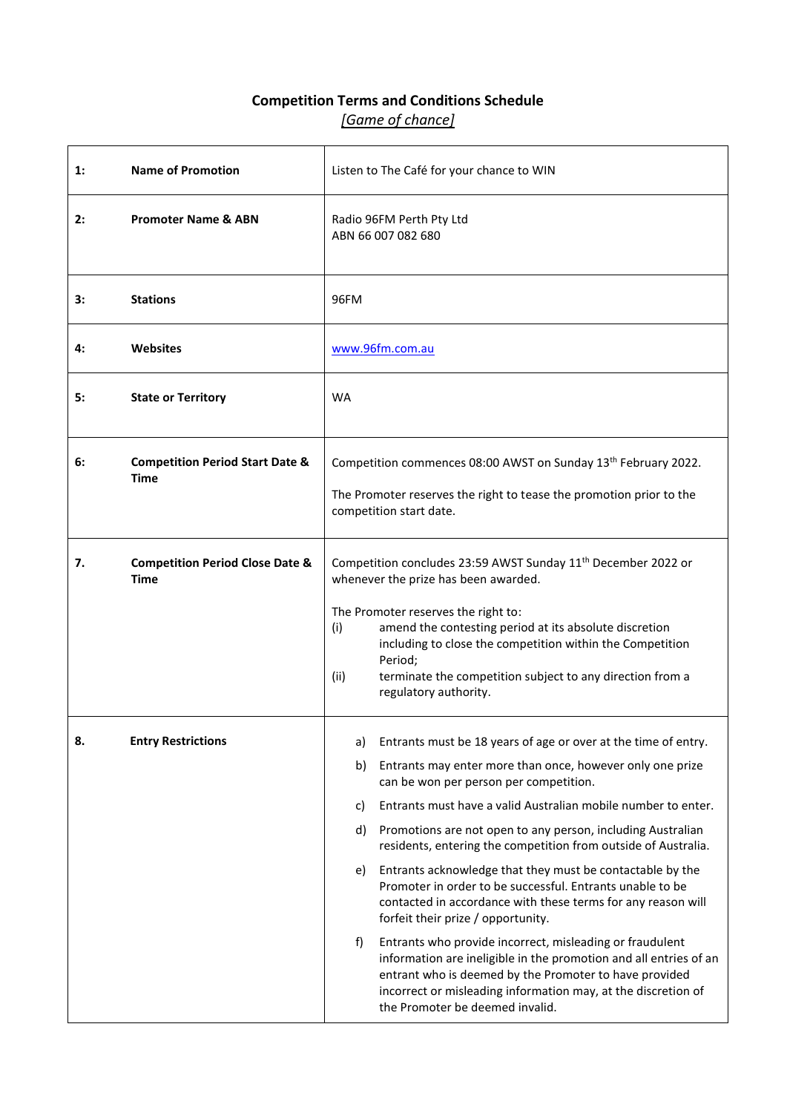## **Competition Terms and Conditions Schedule** *[Game of chance]*

| 1: | <b>Name of Promotion</b>                                  |                                                | Listen to The Café for your chance to WIN                                                                                                                                                                                                                                                                                                                                                                                                                                                                                                                                                                                                                                                                                                                                                                                                                                                              |
|----|-----------------------------------------------------------|------------------------------------------------|--------------------------------------------------------------------------------------------------------------------------------------------------------------------------------------------------------------------------------------------------------------------------------------------------------------------------------------------------------------------------------------------------------------------------------------------------------------------------------------------------------------------------------------------------------------------------------------------------------------------------------------------------------------------------------------------------------------------------------------------------------------------------------------------------------------------------------------------------------------------------------------------------------|
| 2: | <b>Promoter Name &amp; ABN</b>                            | Radio 96FM Perth Pty Ltd<br>ABN 66 007 082 680 |                                                                                                                                                                                                                                                                                                                                                                                                                                                                                                                                                                                                                                                                                                                                                                                                                                                                                                        |
| 3: | <b>Stations</b>                                           | 96FM                                           |                                                                                                                                                                                                                                                                                                                                                                                                                                                                                                                                                                                                                                                                                                                                                                                                                                                                                                        |
| 4: | Websites                                                  | www.96fm.com.au                                |                                                                                                                                                                                                                                                                                                                                                                                                                                                                                                                                                                                                                                                                                                                                                                                                                                                                                                        |
| 5: | <b>State or Territory</b>                                 | <b>WA</b>                                      |                                                                                                                                                                                                                                                                                                                                                                                                                                                                                                                                                                                                                                                                                                                                                                                                                                                                                                        |
| 6: | <b>Competition Period Start Date &amp;</b><br><b>Time</b> |                                                | Competition commences 08:00 AWST on Sunday 13th February 2022.<br>The Promoter reserves the right to tease the promotion prior to the<br>competition start date.                                                                                                                                                                                                                                                                                                                                                                                                                                                                                                                                                                                                                                                                                                                                       |
| 7. | <b>Competition Period Close Date &amp;</b><br><b>Time</b> | (i)<br>(ii)                                    | Competition concludes 23:59 AWST Sunday 11 <sup>th</sup> December 2022 or<br>whenever the prize has been awarded.<br>The Promoter reserves the right to:<br>amend the contesting period at its absolute discretion<br>including to close the competition within the Competition<br>Period;<br>terminate the competition subject to any direction from a<br>regulatory authority.                                                                                                                                                                                                                                                                                                                                                                                                                                                                                                                       |
| 8. | <b>Entry Restrictions</b>                                 | a)<br>b)<br>c)<br>d)<br>e)<br>f)               | Entrants must be 18 years of age or over at the time of entry.<br>Entrants may enter more than once, however only one prize<br>can be won per person per competition.<br>Entrants must have a valid Australian mobile number to enter.<br>Promotions are not open to any person, including Australian<br>residents, entering the competition from outside of Australia.<br>Entrants acknowledge that they must be contactable by the<br>Promoter in order to be successful. Entrants unable to be<br>contacted in accordance with these terms for any reason will<br>forfeit their prize / opportunity.<br>Entrants who provide incorrect, misleading or fraudulent<br>information are ineligible in the promotion and all entries of an<br>entrant who is deemed by the Promoter to have provided<br>incorrect or misleading information may, at the discretion of<br>the Promoter be deemed invalid. |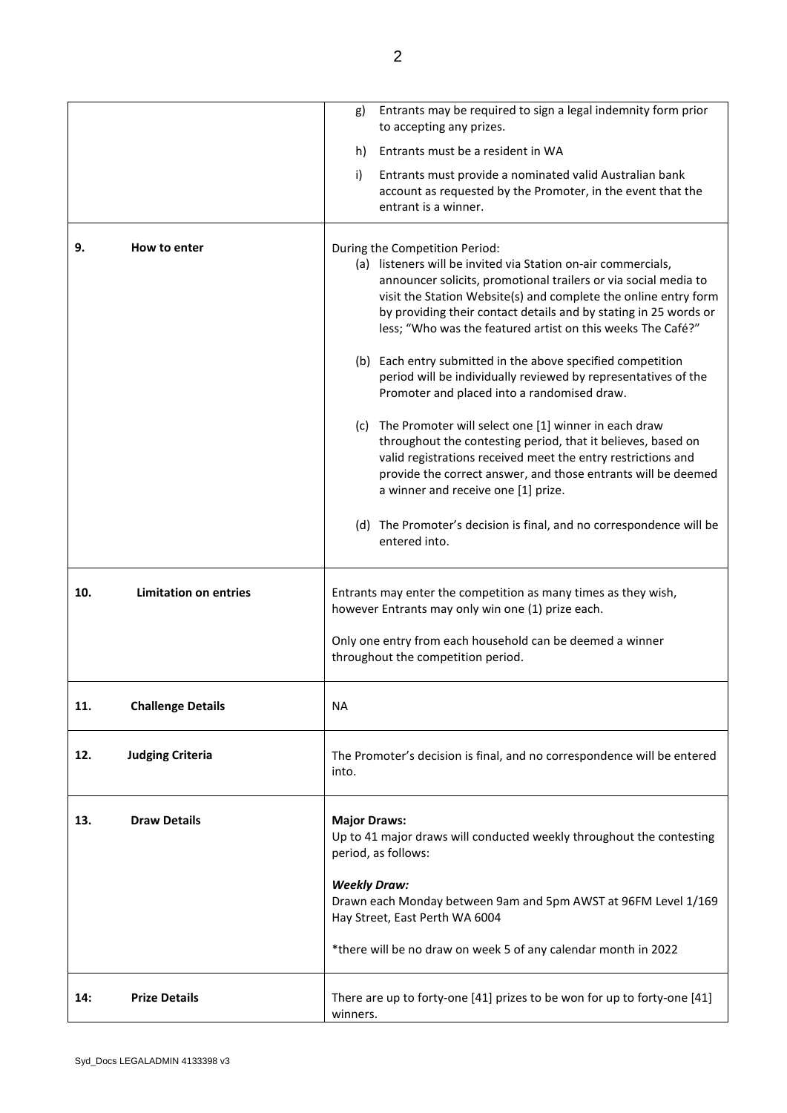|     |                              | g)                                                                                                                 | Entrants may be required to sign a legal indemnity form prior<br>to accepting any prizes.                                                                                                                                                                                                                                                                                                                                                                                                                                                                |
|-----|------------------------------|--------------------------------------------------------------------------------------------------------------------|----------------------------------------------------------------------------------------------------------------------------------------------------------------------------------------------------------------------------------------------------------------------------------------------------------------------------------------------------------------------------------------------------------------------------------------------------------------------------------------------------------------------------------------------------------|
|     |                              | h)                                                                                                                 | Entrants must be a resident in WA                                                                                                                                                                                                                                                                                                                                                                                                                                                                                                                        |
|     |                              | i)                                                                                                                 | Entrants must provide a nominated valid Australian bank<br>account as requested by the Promoter, in the event that the<br>entrant is a winner.                                                                                                                                                                                                                                                                                                                                                                                                           |
| 9.  | How to enter                 |                                                                                                                    | During the Competition Period:<br>(a) listeners will be invited via Station on-air commercials,<br>announcer solicits, promotional trailers or via social media to<br>visit the Station Website(s) and complete the online entry form<br>by providing their contact details and by stating in 25 words or<br>less; "Who was the featured artist on this weeks The Café?"<br>(b) Each entry submitted in the above specified competition<br>period will be individually reviewed by representatives of the<br>Promoter and placed into a randomised draw. |
|     |                              |                                                                                                                    | (c) The Promoter will select one [1] winner in each draw<br>throughout the contesting period, that it believes, based on<br>valid registrations received meet the entry restrictions and<br>provide the correct answer, and those entrants will be deemed<br>a winner and receive one [1] prize.                                                                                                                                                                                                                                                         |
|     |                              |                                                                                                                    | (d) The Promoter's decision is final, and no correspondence will be<br>entered into.                                                                                                                                                                                                                                                                                                                                                                                                                                                                     |
| 10. | <b>Limitation on entries</b> |                                                                                                                    | Entrants may enter the competition as many times as they wish,<br>however Entrants may only win one (1) prize each.                                                                                                                                                                                                                                                                                                                                                                                                                                      |
|     |                              |                                                                                                                    | Only one entry from each household can be deemed a winner<br>throughout the competition period.                                                                                                                                                                                                                                                                                                                                                                                                                                                          |
| 11. | <b>Challenge Details</b>     | <b>NA</b>                                                                                                          |                                                                                                                                                                                                                                                                                                                                                                                                                                                                                                                                                          |
| 12. | <b>Judging Criteria</b>      | into.                                                                                                              | The Promoter's decision is final, and no correspondence will be entered                                                                                                                                                                                                                                                                                                                                                                                                                                                                                  |
| 13. | <b>Draw Details</b>          | <b>Major Draws:</b><br>Up to 41 major draws will conducted weekly throughout the contesting<br>period, as follows: |                                                                                                                                                                                                                                                                                                                                                                                                                                                                                                                                                          |
|     |                              | <b>Weekly Draw:</b>                                                                                                | Drawn each Monday between 9am and 5pm AWST at 96FM Level 1/169<br>Hay Street, East Perth WA 6004                                                                                                                                                                                                                                                                                                                                                                                                                                                         |
|     |                              |                                                                                                                    | *there will be no draw on week 5 of any calendar month in 2022                                                                                                                                                                                                                                                                                                                                                                                                                                                                                           |
| 14: | <b>Prize Details</b>         | winners.                                                                                                           | There are up to forty-one [41] prizes to be won for up to forty-one [41]                                                                                                                                                                                                                                                                                                                                                                                                                                                                                 |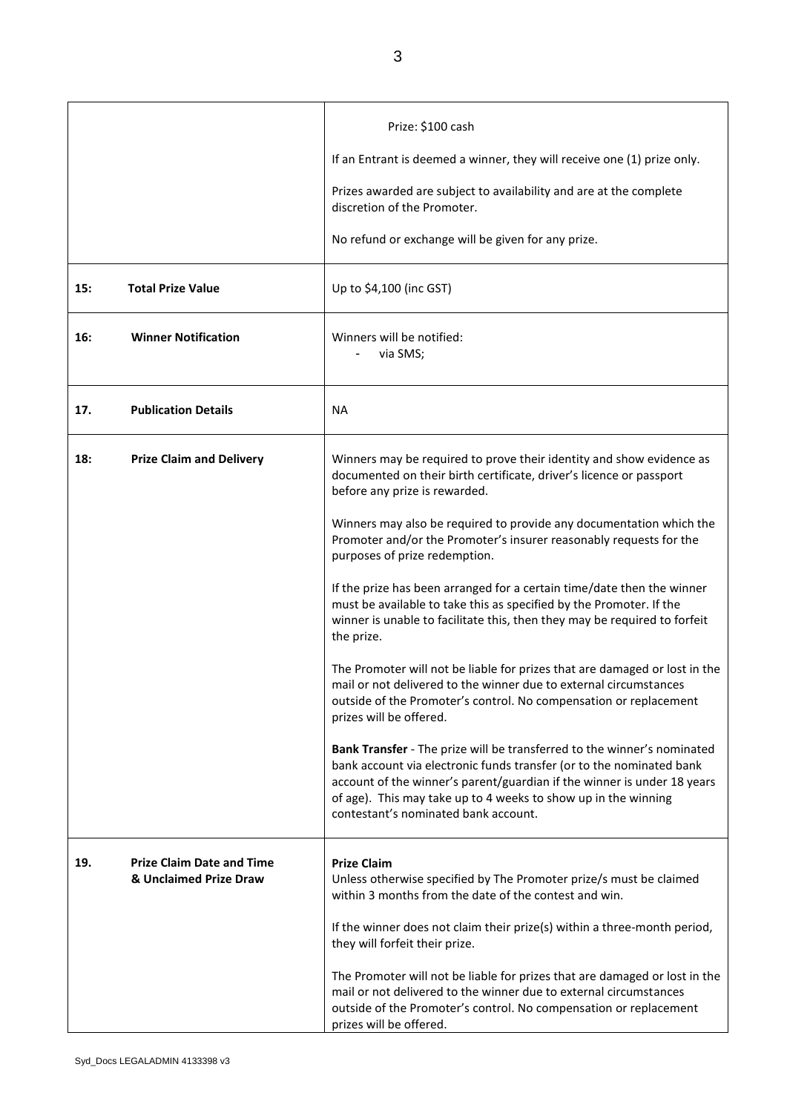|     |                                                            | Prize: \$100 cash                                                                                                                                                                                                                                                                                                                    |
|-----|------------------------------------------------------------|--------------------------------------------------------------------------------------------------------------------------------------------------------------------------------------------------------------------------------------------------------------------------------------------------------------------------------------|
|     |                                                            | If an Entrant is deemed a winner, they will receive one (1) prize only.                                                                                                                                                                                                                                                              |
|     |                                                            | Prizes awarded are subject to availability and are at the complete<br>discretion of the Promoter.                                                                                                                                                                                                                                    |
|     |                                                            | No refund or exchange will be given for any prize.                                                                                                                                                                                                                                                                                   |
| 15: | <b>Total Prize Value</b>                                   | Up to \$4,100 (inc GST)                                                                                                                                                                                                                                                                                                              |
| 16: | <b>Winner Notification</b>                                 | Winners will be notified:<br>via SMS;                                                                                                                                                                                                                                                                                                |
| 17. | <b>Publication Details</b>                                 | <b>NA</b>                                                                                                                                                                                                                                                                                                                            |
| 18: | <b>Prize Claim and Delivery</b>                            | Winners may be required to prove their identity and show evidence as<br>documented on their birth certificate, driver's licence or passport<br>before any prize is rewarded.                                                                                                                                                         |
|     |                                                            | Winners may also be required to provide any documentation which the<br>Promoter and/or the Promoter's insurer reasonably requests for the<br>purposes of prize redemption.                                                                                                                                                           |
|     |                                                            | If the prize has been arranged for a certain time/date then the winner<br>must be available to take this as specified by the Promoter. If the<br>winner is unable to facilitate this, then they may be required to forfeit<br>the prize.                                                                                             |
|     |                                                            | The Promoter will not be liable for prizes that are damaged or lost in the<br>mail or not delivered to the winner due to external circumstances<br>outside of the Promoter's control. No compensation or replacement<br>prizes will be offered.                                                                                      |
|     |                                                            | Bank Transfer - The prize will be transferred to the winner's nominated<br>bank account via electronic funds transfer (or to the nominated bank<br>account of the winner's parent/guardian if the winner is under 18 years<br>of age). This may take up to 4 weeks to show up in the winning<br>contestant's nominated bank account. |
| 19. | <b>Prize Claim Date and Time</b><br>& Unclaimed Prize Draw | <b>Prize Claim</b><br>Unless otherwise specified by The Promoter prize/s must be claimed<br>within 3 months from the date of the contest and win.                                                                                                                                                                                    |
|     |                                                            | If the winner does not claim their prize(s) within a three-month period,<br>they will forfeit their prize.                                                                                                                                                                                                                           |
|     |                                                            | The Promoter will not be liable for prizes that are damaged or lost in the<br>mail or not delivered to the winner due to external circumstances<br>outside of the Promoter's control. No compensation or replacement<br>prizes will be offered.                                                                                      |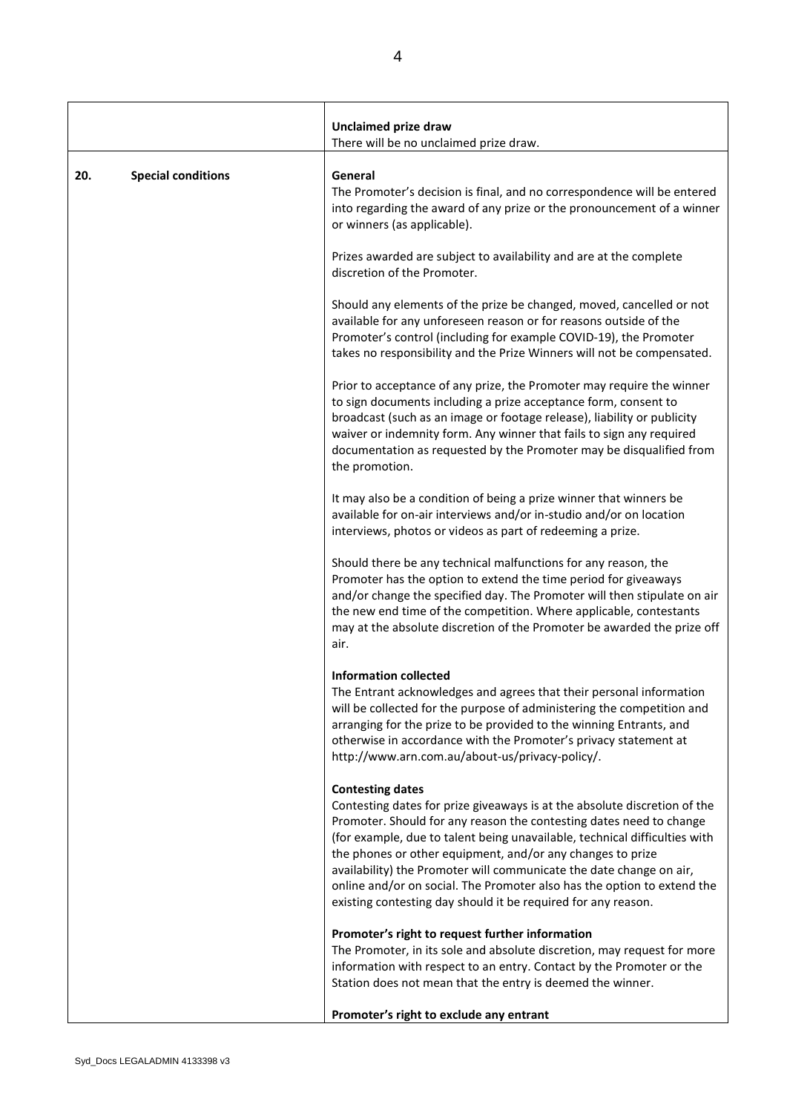|                                  | Unclaimed prize draw<br>There will be no unclaimed prize draw.                                                                                                                                                                                                                                                                                                                                                                                                                                                                             |
|----------------------------------|--------------------------------------------------------------------------------------------------------------------------------------------------------------------------------------------------------------------------------------------------------------------------------------------------------------------------------------------------------------------------------------------------------------------------------------------------------------------------------------------------------------------------------------------|
| <b>Special conditions</b><br>20. | General<br>The Promoter's decision is final, and no correspondence will be entered<br>into regarding the award of any prize or the pronouncement of a winner<br>or winners (as applicable).                                                                                                                                                                                                                                                                                                                                                |
|                                  | Prizes awarded are subject to availability and are at the complete<br>discretion of the Promoter.                                                                                                                                                                                                                                                                                                                                                                                                                                          |
|                                  | Should any elements of the prize be changed, moved, cancelled or not<br>available for any unforeseen reason or for reasons outside of the<br>Promoter's control (including for example COVID-19), the Promoter<br>takes no responsibility and the Prize Winners will not be compensated.                                                                                                                                                                                                                                                   |
|                                  | Prior to acceptance of any prize, the Promoter may require the winner<br>to sign documents including a prize acceptance form, consent to<br>broadcast (such as an image or footage release), liability or publicity<br>waiver or indemnity form. Any winner that fails to sign any required<br>documentation as requested by the Promoter may be disqualified from<br>the promotion.                                                                                                                                                       |
|                                  | It may also be a condition of being a prize winner that winners be<br>available for on-air interviews and/or in-studio and/or on location<br>interviews, photos or videos as part of redeeming a prize.                                                                                                                                                                                                                                                                                                                                    |
|                                  | Should there be any technical malfunctions for any reason, the<br>Promoter has the option to extend the time period for giveaways<br>and/or change the specified day. The Promoter will then stipulate on air<br>the new end time of the competition. Where applicable, contestants<br>may at the absolute discretion of the Promoter be awarded the prize off<br>air.                                                                                                                                                                     |
|                                  | <b>Information collected</b><br>The Entrant acknowledges and agrees that their personal information<br>will be collected for the purpose of administering the competition and<br>arranging for the prize to be provided to the winning Entrants, and<br>otherwise in accordance with the Promoter's privacy statement at<br>http://www.arn.com.au/about-us/privacy-policy/.                                                                                                                                                                |
|                                  | <b>Contesting dates</b><br>Contesting dates for prize giveaways is at the absolute discretion of the<br>Promoter. Should for any reason the contesting dates need to change<br>(for example, due to talent being unavailable, technical difficulties with<br>the phones or other equipment, and/or any changes to prize<br>availability) the Promoter will communicate the date change on air,<br>online and/or on social. The Promoter also has the option to extend the<br>existing contesting day should it be required for any reason. |
|                                  | Promoter's right to request further information                                                                                                                                                                                                                                                                                                                                                                                                                                                                                            |
|                                  | The Promoter, in its sole and absolute discretion, may request for more<br>information with respect to an entry. Contact by the Promoter or the<br>Station does not mean that the entry is deemed the winner.                                                                                                                                                                                                                                                                                                                              |
|                                  | Promoter's right to exclude any entrant                                                                                                                                                                                                                                                                                                                                                                                                                                                                                                    |

**I**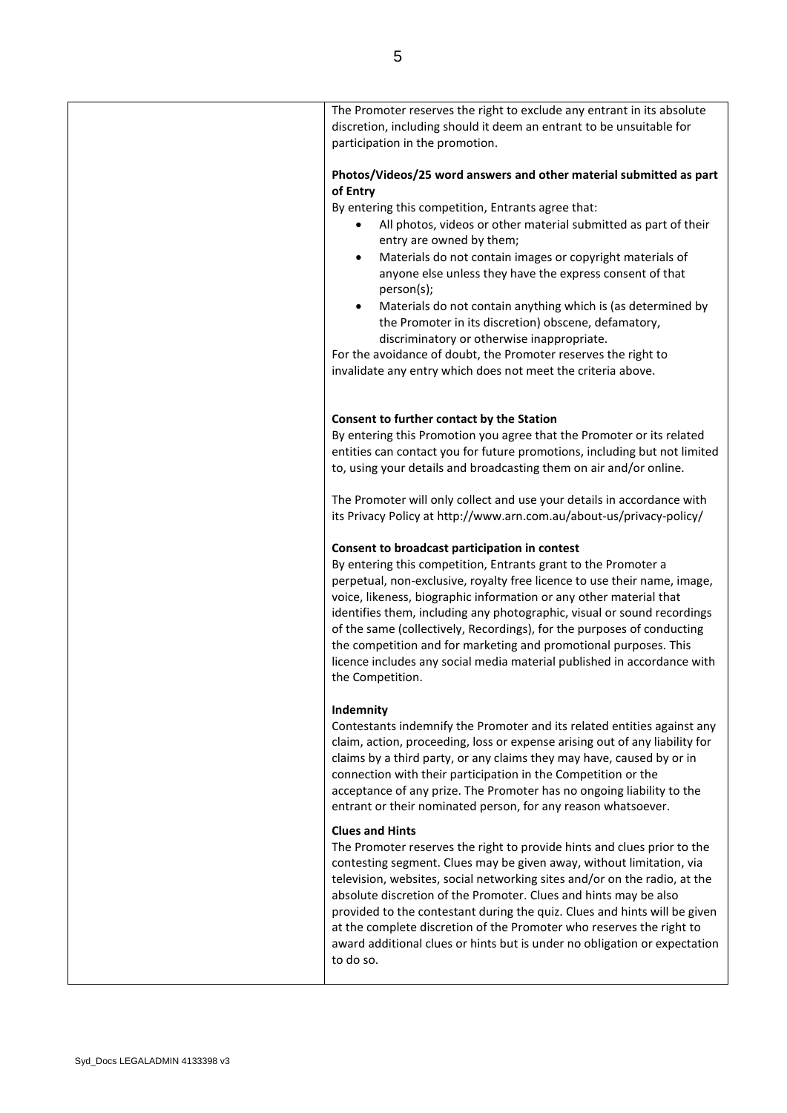| The Promoter reserves the right to exclude any entrant in its absolute<br>discretion, including should it deem an entrant to be unsuitable for<br>participation in the promotion.                                                                                                                                                                                                                                                                                                                                                                                                                                                                                                                                 |
|-------------------------------------------------------------------------------------------------------------------------------------------------------------------------------------------------------------------------------------------------------------------------------------------------------------------------------------------------------------------------------------------------------------------------------------------------------------------------------------------------------------------------------------------------------------------------------------------------------------------------------------------------------------------------------------------------------------------|
| Photos/Videos/25 word answers and other material submitted as part<br>of Entry<br>By entering this competition, Entrants agree that:<br>All photos, videos or other material submitted as part of their<br>٠<br>entry are owned by them;<br>Materials do not contain images or copyright materials of<br>$\bullet$<br>anyone else unless they have the express consent of that<br>person(s);<br>Materials do not contain anything which is (as determined by<br>$\bullet$<br>the Promoter in its discretion) obscene, defamatory,<br>discriminatory or otherwise inappropriate.<br>For the avoidance of doubt, the Promoter reserves the right to<br>invalidate any entry which does not meet the criteria above. |
| Consent to further contact by the Station<br>By entering this Promotion you agree that the Promoter or its related<br>entities can contact you for future promotions, including but not limited<br>to, using your details and broadcasting them on air and/or online.                                                                                                                                                                                                                                                                                                                                                                                                                                             |
| The Promoter will only collect and use your details in accordance with<br>its Privacy Policy at http://www.arn.com.au/about-us/privacy-policy/                                                                                                                                                                                                                                                                                                                                                                                                                                                                                                                                                                    |
| Consent to broadcast participation in contest<br>By entering this competition, Entrants grant to the Promoter a<br>perpetual, non-exclusive, royalty free licence to use their name, image,<br>voice, likeness, biographic information or any other material that<br>identifies them, including any photographic, visual or sound recordings<br>of the same (collectively, Recordings), for the purposes of conducting<br>the competition and for marketing and promotional purposes. This<br>licence includes any social media material published in accordance with<br>the Competition.                                                                                                                         |
| Indemnity<br>Contestants indemnify the Promoter and its related entities against any<br>claim, action, proceeding, loss or expense arising out of any liability for<br>claims by a third party, or any claims they may have, caused by or in<br>connection with their participation in the Competition or the<br>acceptance of any prize. The Promoter has no ongoing liability to the<br>entrant or their nominated person, for any reason whatsoever.                                                                                                                                                                                                                                                           |
| <b>Clues and Hints</b><br>The Promoter reserves the right to provide hints and clues prior to the<br>contesting segment. Clues may be given away, without limitation, via<br>television, websites, social networking sites and/or on the radio, at the<br>absolute discretion of the Promoter. Clues and hints may be also<br>provided to the contestant during the quiz. Clues and hints will be given<br>at the complete discretion of the Promoter who reserves the right to<br>award additional clues or hints but is under no obligation or expectation<br>to do so.                                                                                                                                         |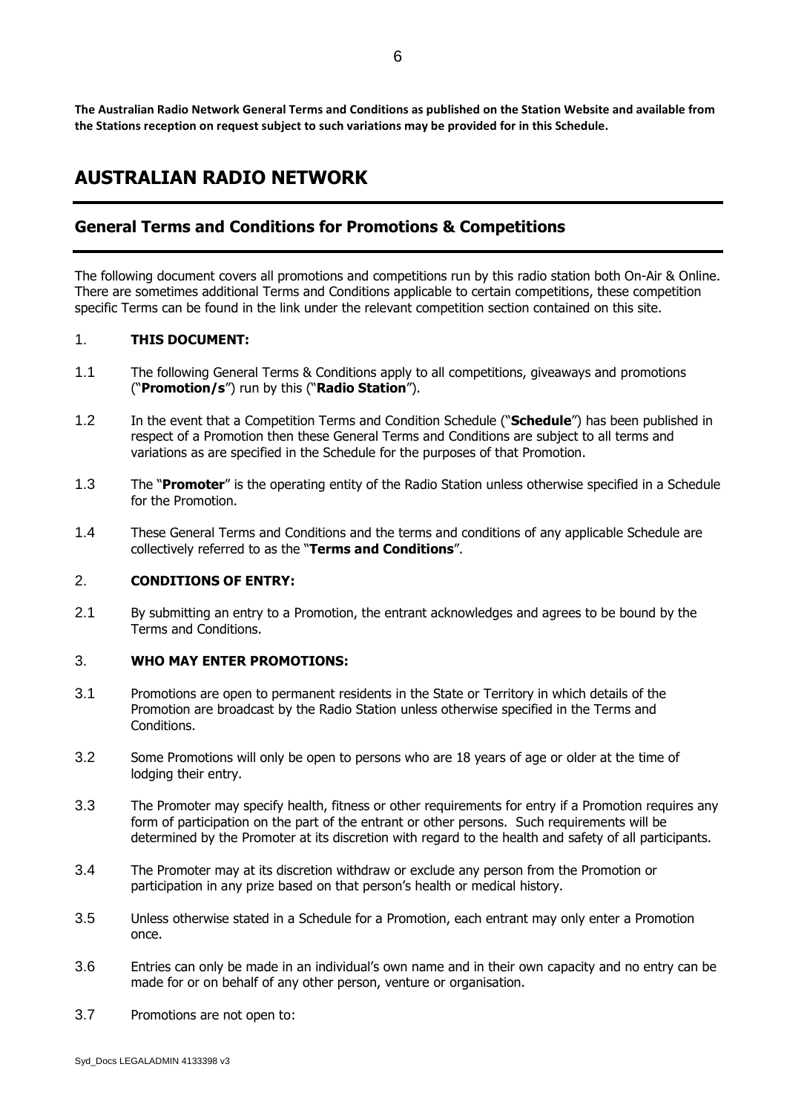**The Australian Radio Network General Terms and Conditions as published on the Station Website and available from the Stations reception on request subject to such variations may be provided for in this Schedule.**

# **AUSTRALIAN RADIO NETWORK**

### **General Terms and Conditions for Promotions & Competitions**

The following document covers all promotions and competitions run by this radio station both On-Air & Online. There are sometimes additional Terms and Conditions applicable to certain competitions, these competition specific Terms can be found in the link under the relevant competition section contained on this site.

#### 1. **THIS DOCUMENT:**

- 1.1 The following General Terms & Conditions apply to all competitions, giveaways and promotions ("**Promotion/s**") run by this ("**Radio Station**").
- 1.2 In the event that a Competition Terms and Condition Schedule ("**Schedule**") has been published in respect of a Promotion then these General Terms and Conditions are subject to all terms and variations as are specified in the Schedule for the purposes of that Promotion.
- 1.3 The "**Promoter**" is the operating entity of the Radio Station unless otherwise specified in a Schedule for the Promotion.
- 1.4 These General Terms and Conditions and the terms and conditions of any applicable Schedule are collectively referred to as the "**Terms and Conditions**".

#### 2. **CONDITIONS OF ENTRY:**

2.1 By submitting an entry to a Promotion, the entrant acknowledges and agrees to be bound by the Terms and Conditions.

#### 3. **WHO MAY ENTER PROMOTIONS:**

- 3.1 Promotions are open to permanent residents in the State or Territory in which details of the Promotion are broadcast by the Radio Station unless otherwise specified in the Terms and Conditions.
- 3.2 Some Promotions will only be open to persons who are 18 years of age or older at the time of lodging their entry.
- 3.3 The Promoter may specify health, fitness or other requirements for entry if a Promotion requires any form of participation on the part of the entrant or other persons. Such requirements will be determined by the Promoter at its discretion with regard to the health and safety of all participants.
- 3.4 The Promoter may at its discretion withdraw or exclude any person from the Promotion or participation in any prize based on that person's health or medical history.
- 3.5 Unless otherwise stated in a Schedule for a Promotion, each entrant may only enter a Promotion once.
- 3.6 Entries can only be made in an individual's own name and in their own capacity and no entry can be made for or on behalf of any other person, venture or organisation.
- 3.7 Promotions are not open to: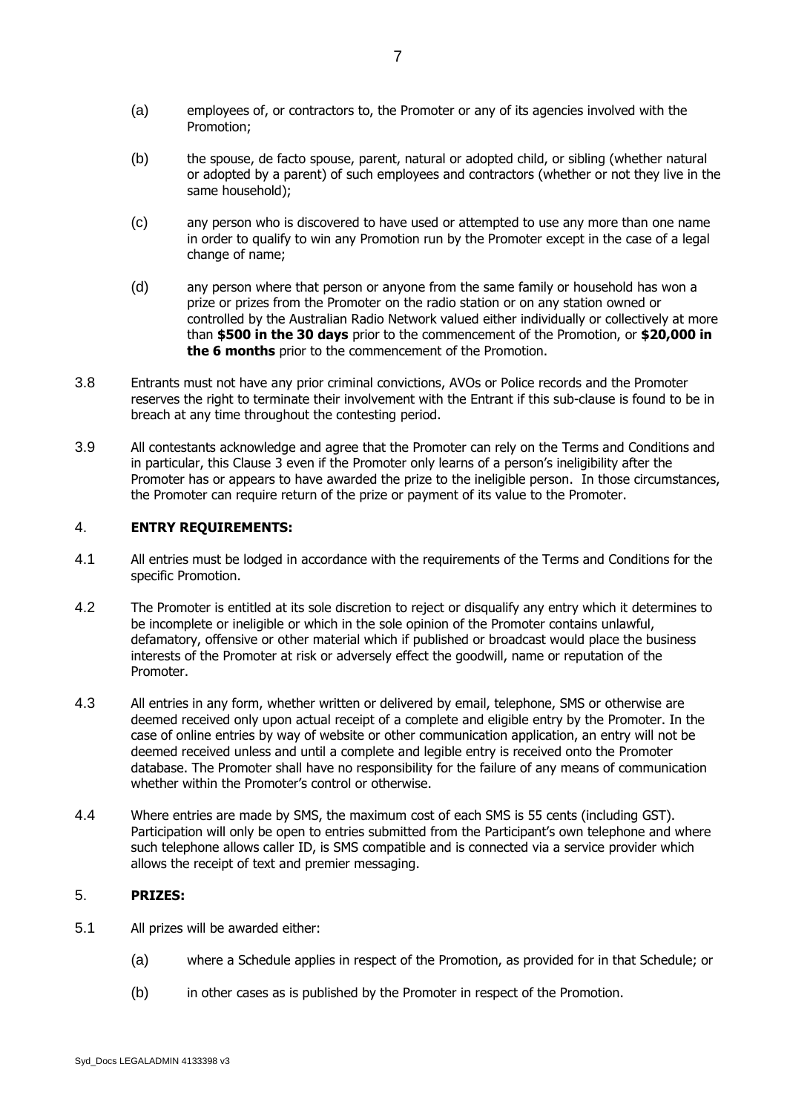- (a) employees of, or contractors to, the Promoter or any of its agencies involved with the Promotion;
- (b) the spouse, de facto spouse, parent, natural or adopted child, or sibling (whether natural or adopted by a parent) of such employees and contractors (whether or not they live in the same household);
- (c) any person who is discovered to have used or attempted to use any more than one name in order to qualify to win any Promotion run by the Promoter except in the case of a legal change of name;
- (d) any person where that person or anyone from the same family or household has won a prize or prizes from the Promoter on the radio station or on any station owned or controlled by the Australian Radio Network valued either individually or collectively at more than **\$500 in the 30 days** prior to the commencement of the Promotion, or **\$20,000 in the 6 months** prior to the commencement of the Promotion.
- 3.8 Entrants must not have any prior criminal convictions, AVOs or Police records and the Promoter reserves the right to terminate their involvement with the Entrant if this sub-clause is found to be in breach at any time throughout the contesting period.
- 3.9 All contestants acknowledge and agree that the Promoter can rely on the Terms and Conditions and in particular, this Clause 3 even if the Promoter only learns of a person's ineligibility after the Promoter has or appears to have awarded the prize to the ineligible person. In those circumstances, the Promoter can require return of the prize or payment of its value to the Promoter.

#### 4. **ENTRY REQUIREMENTS:**

- 4.1 All entries must be lodged in accordance with the requirements of the Terms and Conditions for the specific Promotion.
- 4.2 The Promoter is entitled at its sole discretion to reject or disqualify any entry which it determines to be incomplete or ineligible or which in the sole opinion of the Promoter contains unlawful, defamatory, offensive or other material which if published or broadcast would place the business interests of the Promoter at risk or adversely effect the goodwill, name or reputation of the Promoter.
- 4.3 All entries in any form, whether written or delivered by email, telephone, SMS or otherwise are deemed received only upon actual receipt of a complete and eligible entry by the Promoter. In the case of online entries by way of website or other communication application, an entry will not be deemed received unless and until a complete and legible entry is received onto the Promoter database. The Promoter shall have no responsibility for the failure of any means of communication whether within the Promoter's control or otherwise.
- 4.4 Where entries are made by SMS, the maximum cost of each SMS is 55 cents (including GST). Participation will only be open to entries submitted from the Participant's own telephone and where such telephone allows caller ID, is SMS compatible and is connected via a service provider which allows the receipt of text and premier messaging.

#### 5. **PRIZES:**

- 5.1 All prizes will be awarded either:
	- (a) where a Schedule applies in respect of the Promotion, as provided for in that Schedule; or
	- (b) in other cases as is published by the Promoter in respect of the Promotion.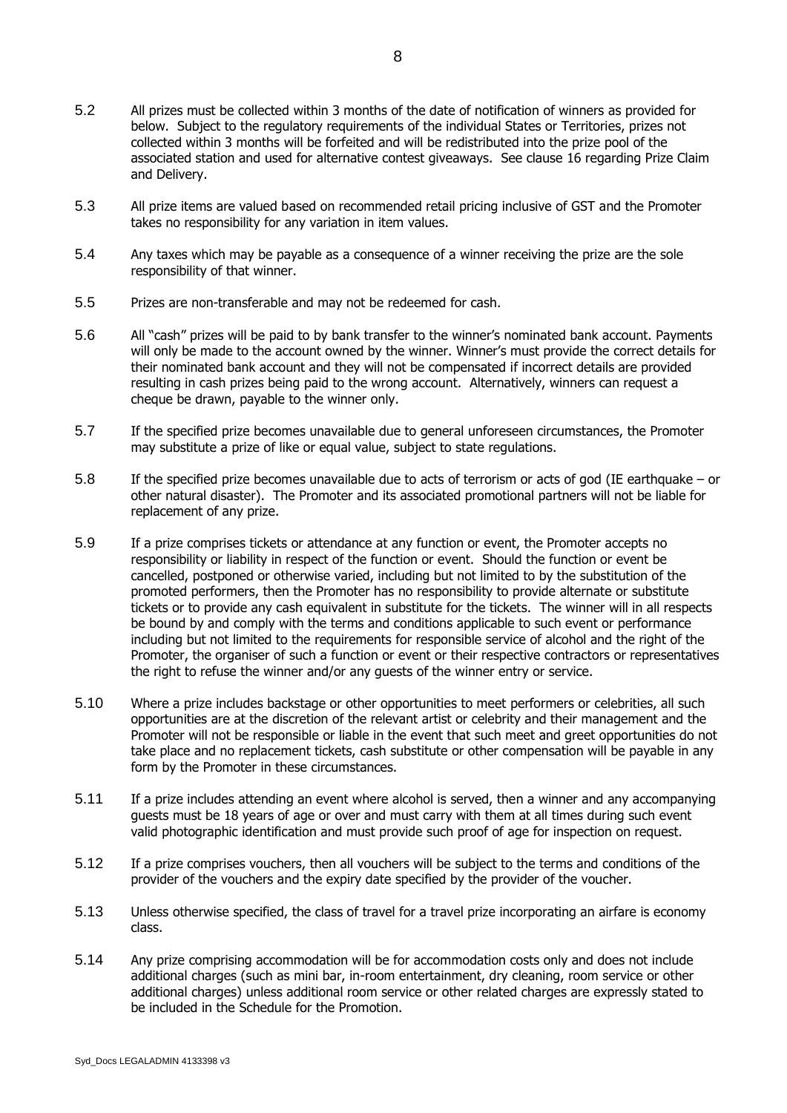- 5.2 All prizes must be collected within 3 months of the date of notification of winners as provided for below. Subject to the regulatory requirements of the individual States or Territories, prizes not collected within 3 months will be forfeited and will be redistributed into the prize pool of the associated station and used for alternative contest giveaways. See clause 16 regarding Prize Claim and Delivery.
- 5.3 All prize items are valued based on recommended retail pricing inclusive of GST and the Promoter takes no responsibility for any variation in item values.
- 5.4 Any taxes which may be payable as a consequence of a winner receiving the prize are the sole responsibility of that winner.
- 5.5 Prizes are non-transferable and may not be redeemed for cash.
- 5.6 All "cash" prizes will be paid to by bank transfer to the winner's nominated bank account. Payments will only be made to the account owned by the winner. Winner's must provide the correct details for their nominated bank account and they will not be compensated if incorrect details are provided resulting in cash prizes being paid to the wrong account. Alternatively, winners can request a cheque be drawn, payable to the winner only.
- 5.7 If the specified prize becomes unavailable due to general unforeseen circumstances, the Promoter may substitute a prize of like or equal value, subject to state regulations.
- 5.8 If the specified prize becomes unavailable due to acts of terrorism or acts of god (IE earthquake or other natural disaster). The Promoter and its associated promotional partners will not be liable for replacement of any prize.
- 5.9 If a prize comprises tickets or attendance at any function or event, the Promoter accepts no responsibility or liability in respect of the function or event. Should the function or event be cancelled, postponed or otherwise varied, including but not limited to by the substitution of the promoted performers, then the Promoter has no responsibility to provide alternate or substitute tickets or to provide any cash equivalent in substitute for the tickets. The winner will in all respects be bound by and comply with the terms and conditions applicable to such event or performance including but not limited to the requirements for responsible service of alcohol and the right of the Promoter, the organiser of such a function or event or their respective contractors or representatives the right to refuse the winner and/or any guests of the winner entry or service.
- 5.10 Where a prize includes backstage or other opportunities to meet performers or celebrities, all such opportunities are at the discretion of the relevant artist or celebrity and their management and the Promoter will not be responsible or liable in the event that such meet and greet opportunities do not take place and no replacement tickets, cash substitute or other compensation will be payable in any form by the Promoter in these circumstances.
- 5.11 If a prize includes attending an event where alcohol is served, then a winner and any accompanying guests must be 18 years of age or over and must carry with them at all times during such event valid photographic identification and must provide such proof of age for inspection on request.
- 5.12 If a prize comprises vouchers, then all vouchers will be subject to the terms and conditions of the provider of the vouchers and the expiry date specified by the provider of the voucher.
- 5.13 Unless otherwise specified, the class of travel for a travel prize incorporating an airfare is economy class.
- 5.14 Any prize comprising accommodation will be for accommodation costs only and does not include additional charges (such as mini bar, in-room entertainment, dry cleaning, room service or other additional charges) unless additional room service or other related charges are expressly stated to be included in the Schedule for the Promotion.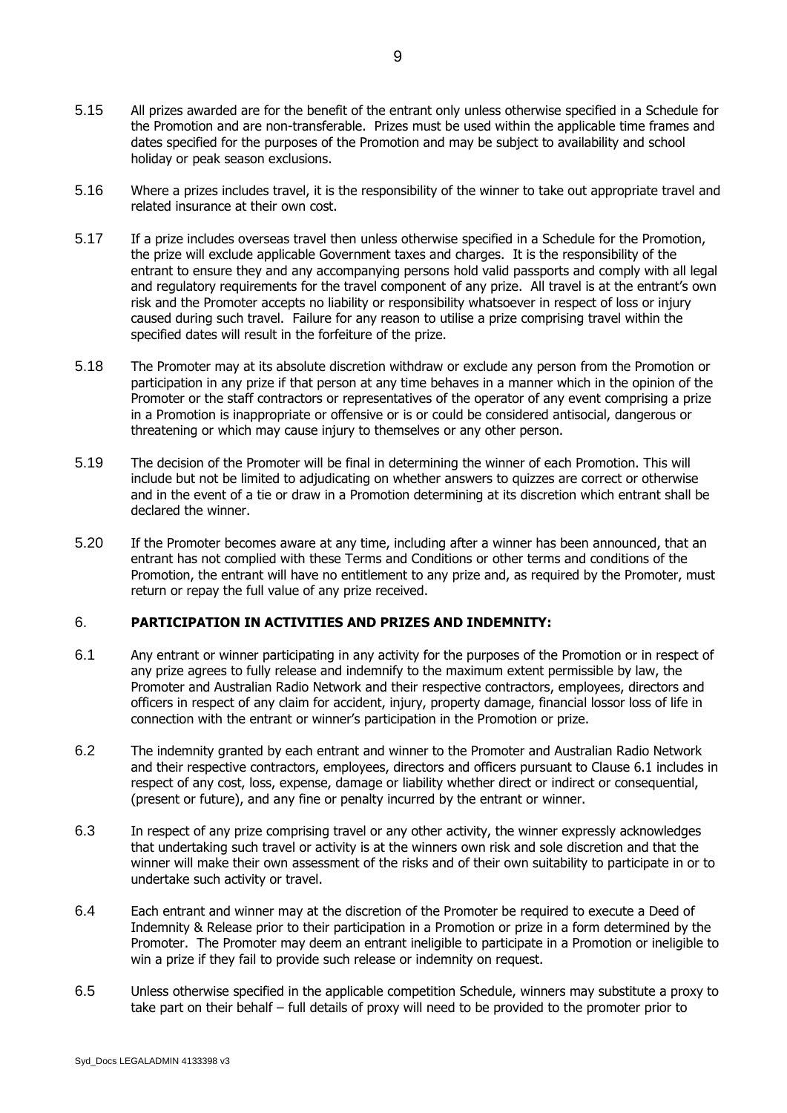- 5.15 All prizes awarded are for the benefit of the entrant only unless otherwise specified in a Schedule for the Promotion and are non-transferable. Prizes must be used within the applicable time frames and dates specified for the purposes of the Promotion and may be subject to availability and school holiday or peak season exclusions.
- 5.16 Where a prizes includes travel, it is the responsibility of the winner to take out appropriate travel and related insurance at their own cost.
- 5.17 If a prize includes overseas travel then unless otherwise specified in a Schedule for the Promotion, the prize will exclude applicable Government taxes and charges. It is the responsibility of the entrant to ensure they and any accompanying persons hold valid passports and comply with all legal and regulatory requirements for the travel component of any prize. All travel is at the entrant's own risk and the Promoter accepts no liability or responsibility whatsoever in respect of loss or injury caused during such travel. Failure for any reason to utilise a prize comprising travel within the specified dates will result in the forfeiture of the prize.
- 5.18 The Promoter may at its absolute discretion withdraw or exclude any person from the Promotion or participation in any prize if that person at any time behaves in a manner which in the opinion of the Promoter or the staff contractors or representatives of the operator of any event comprising a prize in a Promotion is inappropriate or offensive or is or could be considered antisocial, dangerous or threatening or which may cause injury to themselves or any other person.
- 5.19 The decision of the Promoter will be final in determining the winner of each Promotion. This will include but not be limited to adjudicating on whether answers to quizzes are correct or otherwise and in the event of a tie or draw in a Promotion determining at its discretion which entrant shall be declared the winner.
- 5.20 If the Promoter becomes aware at any time, including after a winner has been announced, that an entrant has not complied with these Terms and Conditions or other terms and conditions of the Promotion, the entrant will have no entitlement to any prize and, as required by the Promoter, must return or repay the full value of any prize received.

#### 6. **PARTICIPATION IN ACTIVITIES AND PRIZES AND INDEMNITY:**

- <span id="page-8-0"></span>6.1 Any entrant or winner participating in any activity for the purposes of the Promotion or in respect of any prize agrees to fully release and indemnify to the maximum extent permissible by law, the Promoter and Australian Radio Network and their respective contractors, employees, directors and officers in respect of any claim for accident, injury, property damage, financial lossor loss of life in connection with the entrant or winner's participation in the Promotion or prize.
- 6.2 The indemnity granted by each entrant and winner to the Promoter and Australian Radio Network and their respective contractors, employees, directors and officers pursuant to Clause 6.1 includes in respect of any cost, loss, expense, damage or liability whether direct or indirect or consequential, (present or future), and any fine or penalty incurred by the entrant or winner.
- 6.3 In respect of any prize comprising travel or any other activity, the winner expressly acknowledges that undertaking such travel or activity is at the winners own risk and sole discretion and that the winner will make their own assessment of the risks and of their own suitability to participate in or to undertake such activity or travel.
- 6.4 Each entrant and winner may at the discretion of the Promoter be required to execute a Deed of Indemnity & Release prior to their participation in a Promotion or prize in a form determined by the Promoter. The Promoter may deem an entrant ineligible to participate in a Promotion or ineligible to win a prize if they fail to provide such release or indemnity on request.
- 6.5 Unless otherwise specified in the applicable competition Schedule, winners may substitute a proxy to take part on their behalf – full details of proxy will need to be provided to the promoter prior to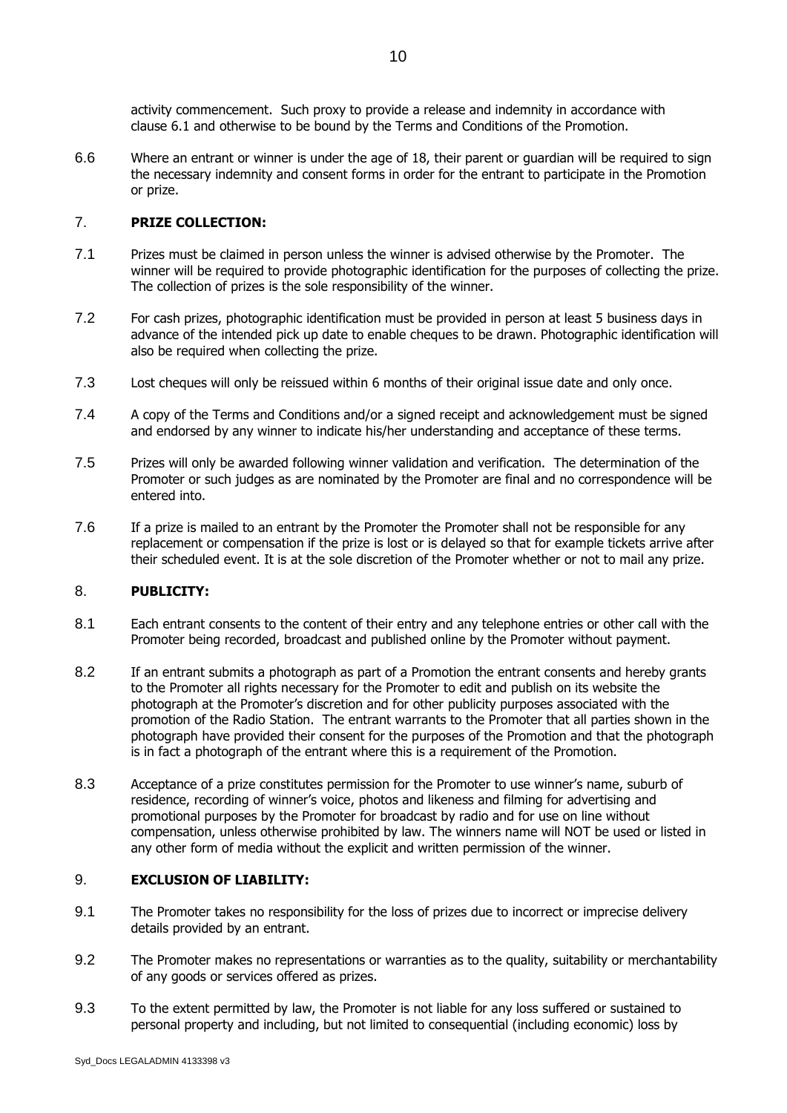activity commencement. Such proxy to provide a release and indemnity in accordance with clause [6.1](#page-8-0) and otherwise to be bound by the Terms and Conditions of the Promotion.

6.6 Where an entrant or winner is under the age of 18, their parent or guardian will be required to sign the necessary indemnity and consent forms in order for the entrant to participate in the Promotion or prize.

#### 7. **PRIZE COLLECTION:**

- 7.1 Prizes must be claimed in person unless the winner is advised otherwise by the Promoter. The winner will be required to provide photographic identification for the purposes of collecting the prize. The collection of prizes is the sole responsibility of the winner.
- 7.2 For cash prizes, photographic identification must be provided in person at least 5 business days in advance of the intended pick up date to enable cheques to be drawn. Photographic identification will also be required when collecting the prize.
- 7.3 Lost cheques will only be reissued within 6 months of their original issue date and only once.
- 7.4 A copy of the Terms and Conditions and/or a signed receipt and acknowledgement must be signed and endorsed by any winner to indicate his/her understanding and acceptance of these terms.
- 7.5 Prizes will only be awarded following winner validation and verification. The determination of the Promoter or such judges as are nominated by the Promoter are final and no correspondence will be entered into.
- 7.6 If a prize is mailed to an entrant by the Promoter the Promoter shall not be responsible for any replacement or compensation if the prize is lost or is delayed so that for example tickets arrive after their scheduled event. It is at the sole discretion of the Promoter whether or not to mail any prize.

#### 8. **PUBLICITY:**

- 8.1 Each entrant consents to the content of their entry and any telephone entries or other call with the Promoter being recorded, broadcast and published online by the Promoter without payment.
- 8.2 If an entrant submits a photograph as part of a Promotion the entrant consents and hereby grants to the Promoter all rights necessary for the Promoter to edit and publish on its website the photograph at the Promoter's discretion and for other publicity purposes associated with the promotion of the Radio Station. The entrant warrants to the Promoter that all parties shown in the photograph have provided their consent for the purposes of the Promotion and that the photograph is in fact a photograph of the entrant where this is a requirement of the Promotion.
- 8.3 Acceptance of a prize constitutes permission for the Promoter to use winner's name, suburb of residence, recording of winner's voice, photos and likeness and filming for advertising and promotional purposes by the Promoter for broadcast by radio and for use on line without compensation, unless otherwise prohibited by law. The winners name will NOT be used or listed in any other form of media without the explicit and written permission of the winner.

#### 9. **EXCLUSION OF LIABILITY:**

- 9.1 The Promoter takes no responsibility for the loss of prizes due to incorrect or imprecise delivery details provided by an entrant.
- 9.2 The Promoter makes no representations or warranties as to the quality, suitability or merchantability of any goods or services offered as prizes.
- 9.3 To the extent permitted by law, the Promoter is not liable for any loss suffered or sustained to personal property and including, but not limited to consequential (including economic) loss by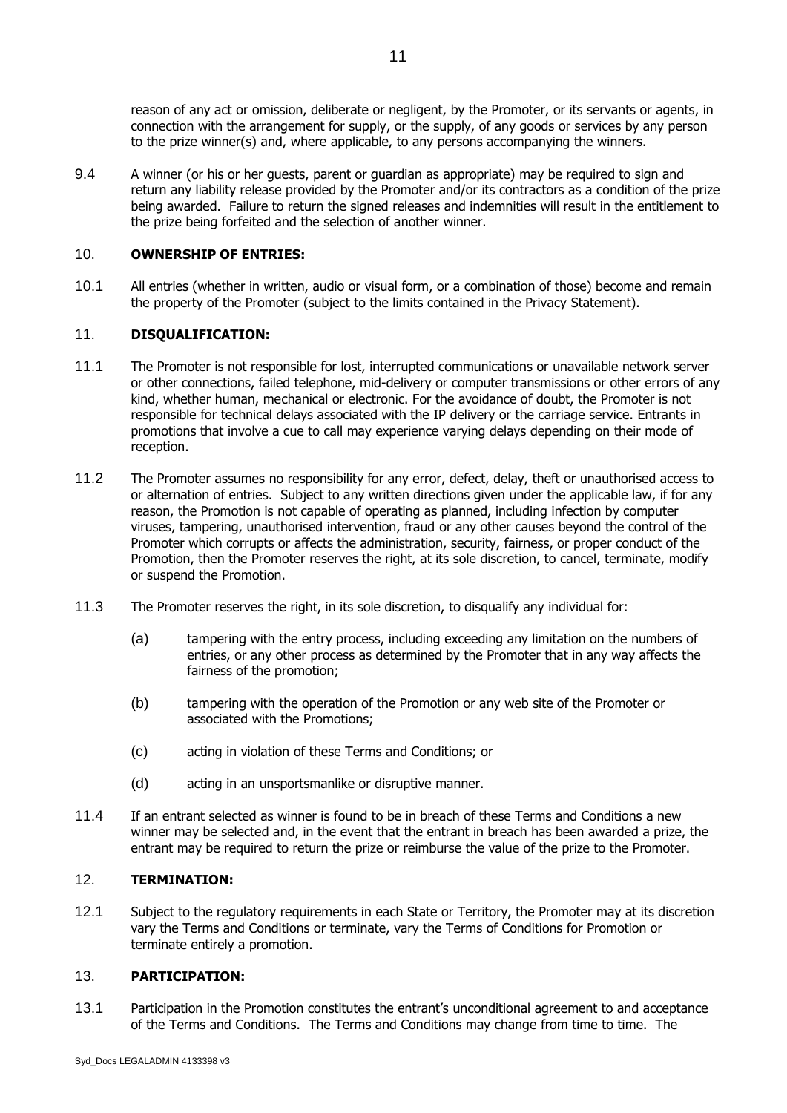reason of any act or omission, deliberate or negligent, by the Promoter, or its servants or agents, in connection with the arrangement for supply, or the supply, of any goods or services by any person to the prize winner(s) and, where applicable, to any persons accompanying the winners.

9.4 A winner (or his or her guests, parent or guardian as appropriate) may be required to sign and return any liability release provided by the Promoter and/or its contractors as a condition of the prize being awarded. Failure to return the signed releases and indemnities will result in the entitlement to the prize being forfeited and the selection of another winner.

#### 10. **OWNERSHIP OF ENTRIES:**

10.1 All entries (whether in written, audio or visual form, or a combination of those) become and remain the property of the Promoter (subject to the limits contained in the Privacy Statement).

#### 11. **DISQUALIFICATION:**

- 11.1 The Promoter is not responsible for lost, interrupted communications or unavailable network server or other connections, failed telephone, mid-delivery or computer transmissions or other errors of any kind, whether human, mechanical or electronic. For the avoidance of doubt, the Promoter is not responsible for technical delays associated with the IP delivery or the carriage service. Entrants in promotions that involve a cue to call may experience varying delays depending on their mode of reception.
- 11.2 The Promoter assumes no responsibility for any error, defect, delay, theft or unauthorised access to or alternation of entries. Subject to any written directions given under the applicable law, if for any reason, the Promotion is not capable of operating as planned, including infection by computer viruses, tampering, unauthorised intervention, fraud or any other causes beyond the control of the Promoter which corrupts or affects the administration, security, fairness, or proper conduct of the Promotion, then the Promoter reserves the right, at its sole discretion, to cancel, terminate, modify or suspend the Promotion.
- 11.3 The Promoter reserves the right, in its sole discretion, to disqualify any individual for:
	- (a) tampering with the entry process, including exceeding any limitation on the numbers of entries, or any other process as determined by the Promoter that in any way affects the fairness of the promotion;
	- (b) tampering with the operation of the Promotion or any web site of the Promoter or associated with the Promotions;
	- (c) acting in violation of these Terms and Conditions; or
	- (d) acting in an unsportsmanlike or disruptive manner.
- 11.4 If an entrant selected as winner is found to be in breach of these Terms and Conditions a new winner may be selected and, in the event that the entrant in breach has been awarded a prize, the entrant may be required to return the prize or reimburse the value of the prize to the Promoter.

#### 12. **TERMINATION:**

12.1 Subject to the regulatory requirements in each State or Territory, the Promoter may at its discretion vary the Terms and Conditions or terminate, vary the Terms of Conditions for Promotion or terminate entirely a promotion.

#### 13. **PARTICIPATION:**

13.1 Participation in the Promotion constitutes the entrant's unconditional agreement to and acceptance of the Terms and Conditions. The Terms and Conditions may change from time to time. The